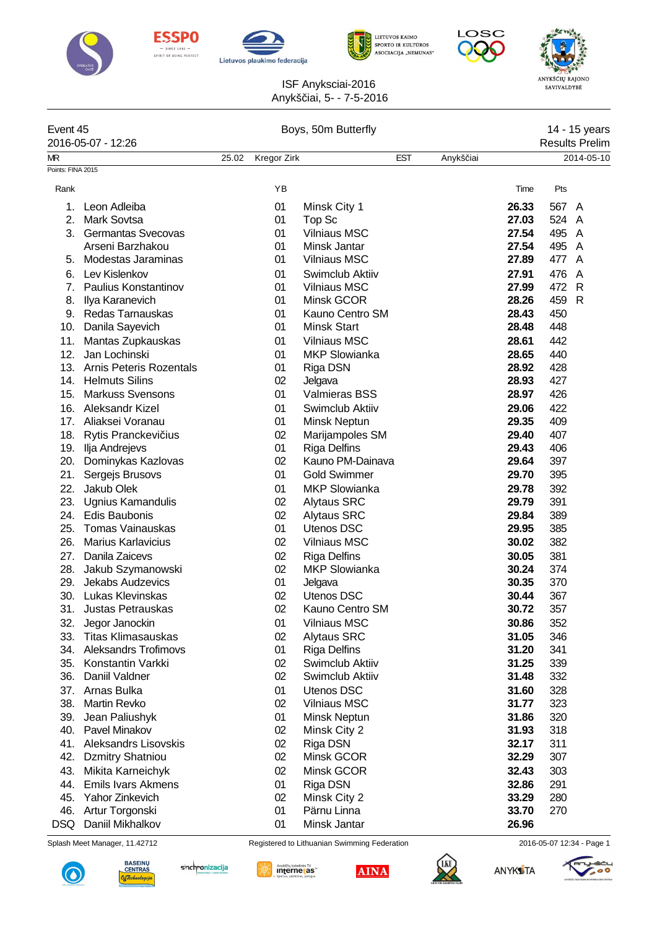









## ANYKŠČIŲ RAJONO<br>SAVIVALDYBĖ

ISF Anyksciai-2016 Anykš iai, 5- - 7-5-2016

| Event 45                |                             | Boys, 50m Butterfly |             |                      |            |           |                       | 14 - 15 years |            |  |
|-------------------------|-----------------------------|---------------------|-------------|----------------------|------------|-----------|-----------------------|---------------|------------|--|
|                         | 2016-05-07 - 12:26          |                     |             |                      |            |           | <b>Results Prelim</b> |               |            |  |
| МR<br>Points: FINA 2015 |                             | 25.02               | Kregor Zirk |                      | <b>EST</b> | Anykš iai |                       |               | 2014-05-10 |  |
|                         |                             |                     |             |                      |            |           |                       |               |            |  |
| Rank                    |                             |                     | YB          |                      |            |           | Time                  | Pts           |            |  |
| 1.                      | Leon Adleiba                |                     | 01          | Minsk City 1         |            |           | 26.33                 | 567 A         |            |  |
| 2.                      | <b>Mark Sovtsa</b>          |                     | 01          | Top Sc               |            |           | 27.03                 | 524 A         |            |  |
| 3.                      | Germantas Svecovas          |                     | 01          | <b>Vilniaus MSC</b>  |            |           | 27.54                 | 495 A         |            |  |
|                         | Arseni Barzhakou            |                     | 01          | Minsk Jantar         |            |           | 27.54                 | 495           | A          |  |
| 5.                      | Modestas Jaraminas          |                     | 01          | <b>Vilniaus MSC</b>  |            |           | 27.89                 | 477 A         |            |  |
| 6.                      | Lev Kislenkov               |                     | 01          | Swimclub Aktiiv      |            |           | 27.91                 | 476           | A          |  |
| 7.                      | Paulius Konstantinov        |                     | 01          | <b>Vilniaus MSC</b>  |            |           | 27.99                 | 472 R         |            |  |
| 8.                      | Ilya Karanevich             |                     | 01          | Minsk GCOR           |            |           | 28.26                 | 459 R         |            |  |
|                         | 9. Redas Tarnauskas         |                     | 01          | Kauno Centro SM      |            |           | 28.43                 | 450           |            |  |
| 10.                     | Danila Sayevich             |                     | 01          | <b>Minsk Start</b>   |            |           | 28.48                 | 448           |            |  |
| 11.                     | Mantas Zupkauskas           |                     | 01          | <b>Vilniaus MSC</b>  |            |           | 28.61                 | 442           |            |  |
| 12.                     | Jan Lochinski               |                     | 01          | <b>MKP Slowianka</b> |            |           | 28.65                 | 440           |            |  |
|                         | 13. Arnis Peteris Rozentals |                     | 01          | Riga DSN             |            |           | 28.92                 | 428           |            |  |
|                         | 14. Helmuts Silins          |                     | 02          | Jelgava              |            |           | 28.93                 | 427           |            |  |
| 15.                     | <b>Markuss Svensons</b>     |                     | 01          | <b>Valmieras BSS</b> |            |           | 28.97                 | 426           |            |  |
| 16.                     | Aleksandr Kizel             |                     | 01          | Swimclub Aktiiv      |            |           | 29.06                 | 422           |            |  |
|                         | 17. Aliaksei Voranau        |                     | 01          | Minsk Neptun         |            |           | 29.35                 | 409           |            |  |
|                         | 18. Rytis Pranckevi ius     |                     | 02          | Marijampoles SM      |            |           | 29.40                 | 407           |            |  |
|                         | 19. Ilja Andrejevs          |                     | 01          | <b>Riga Delfins</b>  |            |           | 29.43                 | 406           |            |  |
| 20.                     | Dominykas Kazlovas          |                     | 02          | Kauno PM-Dainava     |            |           | 29.64                 | 397           |            |  |
| 21.                     | Sergejs Brusovs             |                     | 01          | <b>Gold Swimmer</b>  |            |           | 29.70                 | 395           |            |  |
| 22.                     | Jakub Olek                  |                     | 01          | <b>MKP Slowianka</b> |            |           | 29.78                 | 392           |            |  |
| 23.                     | Ugnius Kamandulis           |                     | 02          | <b>Alytaus SRC</b>   |            |           | 29.79                 | 391           |            |  |
| 24.                     | <b>Edis Baubonis</b>        |                     | 02          | <b>Alytaus SRC</b>   |            |           | 29.84                 | 389           |            |  |
| 25.                     | <b>Tomas Vainauskas</b>     |                     | 01          | Utenos DSC           |            |           | 29.95                 | 385           |            |  |
| 26.                     | <b>Marius Karlavicius</b>   |                     | 02          | <b>Vilniaus MSC</b>  |            |           | 30.02                 | 382           |            |  |
| 27.                     | Danila Zaicevs              |                     | 02          | <b>Riga Delfins</b>  |            |           | 30.05                 | 381           |            |  |
| 28.                     | Jakub Szymanowski           |                     | 02          | <b>MKP Slowianka</b> |            |           | 30.24                 | 374           |            |  |
| 29.                     | Jekabs Audzevics            |                     | 01          | Jelgava              |            |           | 30.35                 | 370           |            |  |
| 30.                     | Lukas Klevinskas            |                     | 02          | <b>Utenos DSC</b>    |            |           | 30.44                 | 367           |            |  |
| 31.                     | <b>Justas Petrauskas</b>    |                     | 02          | Kauno Centro SM      |            |           | 30.72                 | 357           |            |  |
| 32.                     | Jegor Janockin              |                     | 01          | <b>Vilniaus MSC</b>  |            |           | 30.86                 | 352           |            |  |
| 33.                     | <b>Titas Klimasauskas</b>   |                     | 02          | <b>Alytaus SRC</b>   |            |           | 31.05                 | 346           |            |  |
| 34.                     | <b>Aleksandrs Trofimovs</b> |                     | 01          | <b>Riga Delfins</b>  |            |           | 31.20                 | 341           |            |  |
| 35.                     | Konstantin Varkki           |                     | 02          | Swimclub Aktiiv      |            |           | 31.25                 | 339           |            |  |
| 36.                     | Daniil Valdner              |                     | 02          | Swimclub Aktiiv      |            |           | 31.48                 | 332           |            |  |
| 37.                     | Arnas Bulka                 |                     | 01          | <b>Utenos DSC</b>    |            |           | 31.60                 | 328           |            |  |
| 38.                     | Martin Revko                |                     | 02          | <b>Vilniaus MSC</b>  |            |           | 31.77                 | 323           |            |  |
| 39.                     | Jean Paliushyk              |                     | 01          | Minsk Neptun         |            |           | 31.86                 | 320           |            |  |
| 40.                     | Pavel Minakov               |                     | 02          | Minsk City 2         |            |           | 31.93                 | 318           |            |  |
| 41.                     | <b>Aleksandrs Lisovskis</b> |                     | $02\,$      | Riga DSN             |            |           | 32.17                 | 311           |            |  |
| 42.                     | <b>Dzmitry Shatniou</b>     |                     | 02          | Minsk GCOR           |            |           | 32.29                 | 307           |            |  |
| 43.                     | Mikita Karneichyk           |                     | $02\,$      | Minsk GCOR           |            |           | 32.43                 | 303           |            |  |
| 44.                     | <b>Emils Ivars Akmens</b>   |                     | 01          | Riga DSN             |            |           | 32.86                 | 291           |            |  |
| 45.                     | Yahor Zinkevich             |                     | 02          | Minsk City 2         |            |           | 33.29                 | 280           |            |  |
| 46.                     | Artur Torgonski             |                     | 01          | Pärnu Linna          |            |           | 33.70                 | 270           |            |  |
| <b>DSQ</b>              | Daniil Mikhalkov            |                     | 01          | Minsk Jantar         |            |           | 26.96                 |               |            |  |

Splash Meet Manager, 11.42712 Registered to Lithuanian Swimming Federation 2016-05-07 12:34 - Page 1







**ANYKS** TA